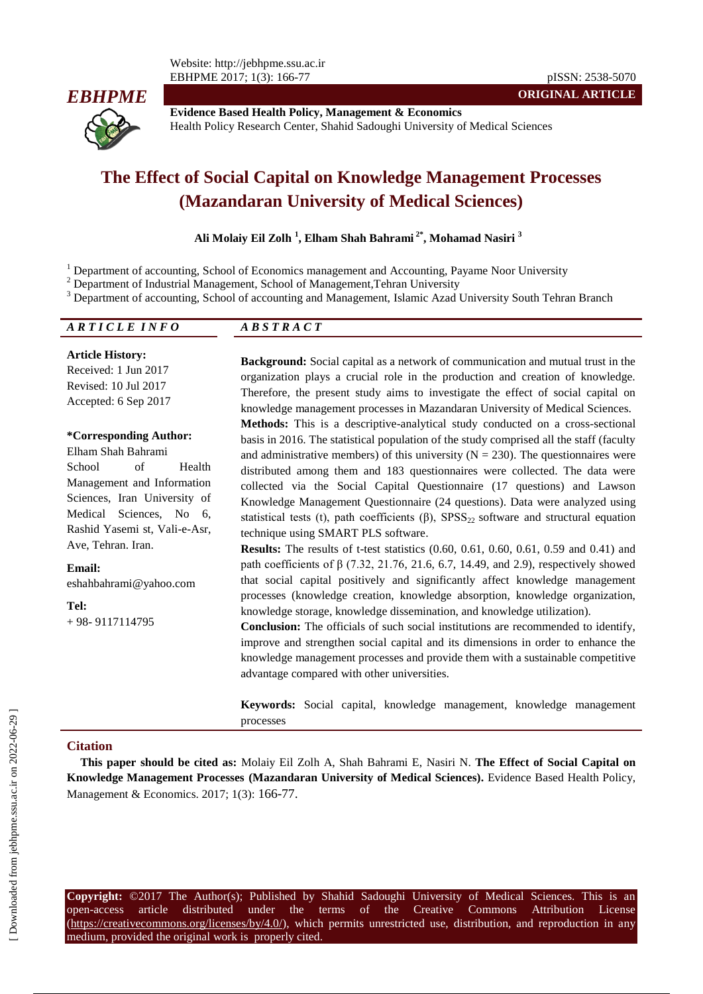Website: http://jebhpme.ssu.ac.ir EBHPME 2017; 1(3): 166-77 pISSN: 2538-5070



**Evidence Based Health Policy, Management & Economics** Health Policy Research Center, Shahid Sadoughi University of Medical Sciences

# **The Effect of Social Capital on Knowledge Management Processes (Mazandaran University of Medical Sciences)**

**Ali Molaiy Eil Zolh <sup>1</sup> , Elham Shah Bahrami 2\* , Mohamad Nasiri 3**

<sup>1</sup> Department of accounting, School of Economics management and Accounting, Payame Noor University

<sup>2</sup> Department of Industrial Management, School of Management, Tehran University

<sup>3</sup> Department of accounting, School of accounting and Management, Islamic Azad University South Tehran Branch

| ARTICLE INFO | $\sqrt{a}$<br>n c m n<br>4<br>n<br>$A \boldsymbol{D} \boldsymbol{\beta} \boldsymbol{I}$<br>the contract of the contract of the contract of the contract of the contract of the contract of the contract of |
|--------------|------------------------------------------------------------------------------------------------------------------------------------------------------------------------------------------------------------|
|              |                                                                                                                                                                                                            |

**Article History:** Received: 1 Jun 2017 Revised: 10 Jul 2017 Accepted: 6 Sep 2017

#### **\*Corresponding Author:**

Elham Shah Bahrami School of Health Management and Information Sciences, Iran University of Medical Sciences, No 6, Rashid Yasemi st, Vali-e-Asr, Ave, Tehran. Iran.

**Email:** eshahbahrami@yahoo.com

**Tel:** + 98- 9117114795

**Background:** Social capital as a network of communication and mutual trust in the organization plays a crucial role in the production and creation of knowledge. Therefore, the present study aims to investigate the effect of social capital on knowledge management processes in Mazandaran University of Medical Sciences. **Methods:** This is a descriptive-analytical study conducted on a cross-sectional basis in 2016. The statistical population of the study comprised all the staff (faculty and administrative members) of this university ( $N = 230$ ). The questionnaires were distributed among them and 183 questionnaires were collected. The data were collected via the Social Capital Questionnaire (17 questions) and Lawson Knowledge Management Questionnaire (24 questions). Data were analyzed using statistical tests (t), path coefficients ( $\beta$ ), SPSS<sub>22</sub> software and structural equation technique using SMART PLS software.

**ORIGINAL ARTICLE**

**Results:** The results of t-test statistics (0.60, 0.61, 0.60, 0.61, 0.59 and 0.41) and path coefficients of β (7.32, 21.76, 21.6, 6.7, 14.49, and 2.9), respectively showed that social capital positively and significantly affect knowledge management processes (knowledge creation, knowledge absorption, knowledge organization, knowledge storage, knowledge dissemination, and knowledge utilization).

**Conclusion:** The officials of such social institutions are recommended to identify, improve and strengthen social capital and its dimensions in order to enhance the knowledge management processes and provide them with a sustainable competitive advantage compared with other universities.

**Keywords:** Social capital, knowledge management, knowledge management processes

#### **Citation**

**This paper should be cited as:** Molaiy Eil Zolh A, Shah Bahrami E, Nasiri N. **The Effect of Social Capital on Knowledge Management Processes (Mazandaran University of Medical Sciences).** Evidence Based Health Policy, Management & Economics. 2017; 1(3): 166-77.

**Copyright:** ©2017 The Author(s); Published by Shahid Sadoughi University of Medical Sciences. This is an open-access article distributed under the terms of the Creative Commons Attribution License (https://creativecommons.org/licenses/by/4.0/), which permits unrestricted use, distribution, and reproduction in any medium, provided the original work is properly cited.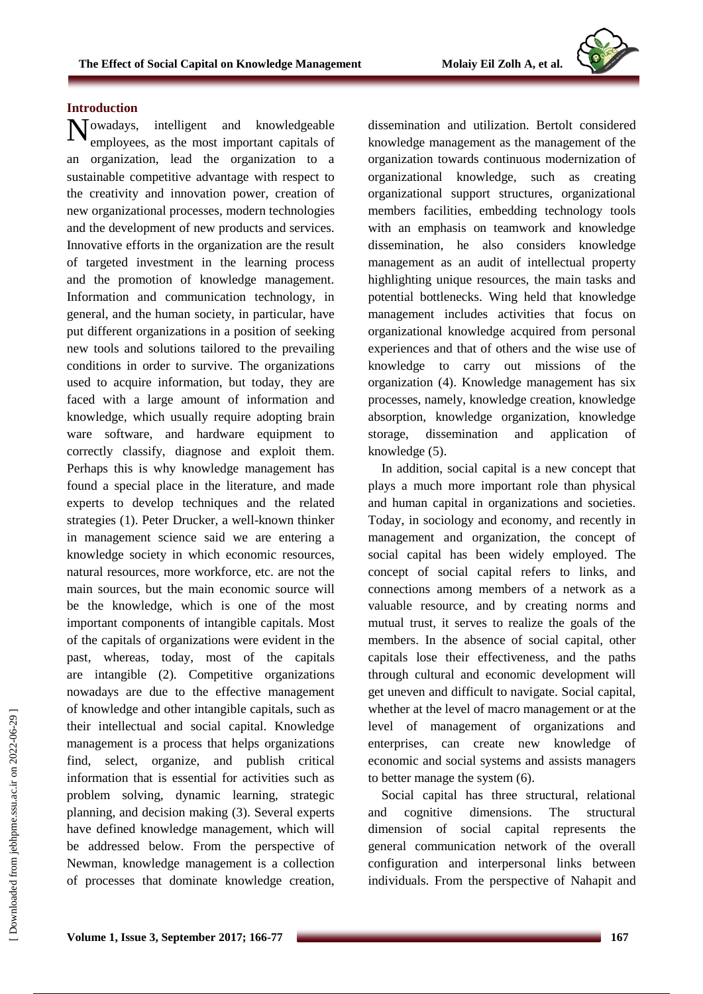### **Introduction**

 $N_{\text{employees, as the most important capitals of}}$ employees, as the most important capitals of an organization, lead the organization to a sustainable competitive advantage with respect to the creativity and innovation power, creation of new organizational processes, modern technologies and the development of new products and services. Innovative efforts in the organization are the result of targeted investment in the learning process and the promotion of knowledge management. Information and communication technology, in general, and the human society, in particular, have put different organizations in a position of seeking new tools and solutions tailored to the prevailing conditions in order to survive. The organizations used to acquire information, but today, they are faced with a large amount of information and knowledge, which usually require adopting brain ware software, and hardware equipment to correctly classify, diagnose and exploit them. Perhaps this is why knowledge management has found a special place in the literature, and made experts to develop techniques and the related strategies (1). Peter Drucker, a well-known thinker in management science said we are entering a knowledge society in which economic resources, natural resources, more workforce, etc. are not the main sources, but the main economic source will be the knowledge, which is one of the most important components of intangible capitals. Most of the capitals of organizations were evident in the past, whereas, today, most of the capitals are intangible (2). Competitive organizations nowadays are due to the effective management of knowledge and other intangible capitals, such as their intellectual and social capital. Knowledge management is a process that helps organizations find, select, organize, and publish critical information that is essential for activities such as problem solving, dynamic learning, strategic planning, and decision making (3). Several experts have defined knowledge management, which will be addressed below. From the perspective of Newman, knowledge management is a collection of processes that dominate knowledge creation,

dissemination and utilization. Bertolt considered knowledge management as the management of the organization towards continuous modernization of organizational knowledge, such as creating organizational support structures, organizational members facilities, embedding technology tools with an emphasis on teamwork and knowledge dissemination, he also considers knowledge management as an audit of intellectual property highlighting unique resources, the main tasks and potential bottlenecks. Wing held that knowledge management includes activities that focus on organizational knowledge acquired from personal experiences and that of others and the wise use of knowledge to carry out missions of the organization (4). Knowledge management has six processes, namely, knowledge creation, knowledge absorption, knowledge organization, knowledge storage, dissemination and application of knowledge (5).

In addition, social capital is a new concept that plays a much more important role than physical and human capital in organizations and societies. Today, in sociology and economy, and recently in management and organization, the concept of social capital has been widely employed. The concept of social capital refers to links, and connections among members of a network as a valuable resource, and by creating norms and mutual trust, it serves to realize the goals of the members. In the absence of social capital, other capitals lose their effectiveness, and the paths through cultural and economic development will get uneven and difficult to navigate. Social capital, whether at the level of macro management or at the level of management of organizations and enterprises, can create new knowledge of economic and social systems and assists managers to better manage the system (6).

Social capital has three structural, relational and cognitive dimensions. The structural dimension of social capital represents the general communication network of the overall configuration and interpersonal links between individuals. From the perspective of Nahapit and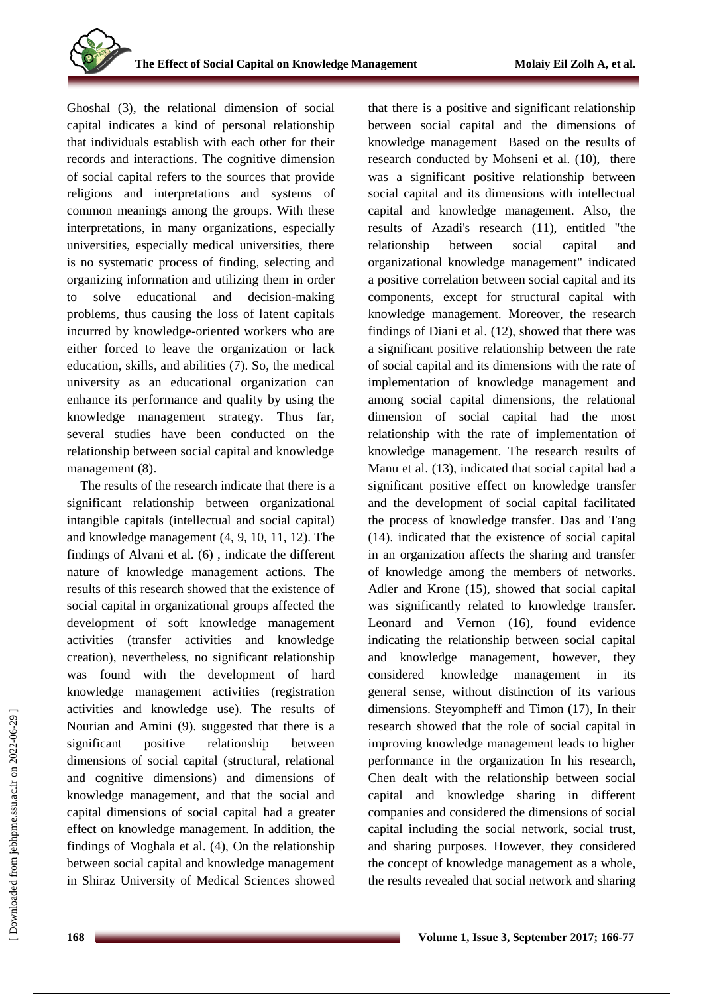Ghoshal (3), the relational dimension of social capital indicates a kind of personal relationship that individuals establish with each other for their records and interactions. The cognitive dimension of social capital refers to the sources that provide religions and interpretations and systems of common meanings among the groups. With these interpretations, in many organizations, especially universities, especially medical universities, there is no systematic process of finding, selecting and organizing information and utilizing them in order to solve educational and decision-making problems, thus causing the loss of latent capitals incurred by knowledge-oriented workers who are either forced to leave the organization or lack education, skills, and abilities (7). So, the medical university as an educational organization can enhance its performance and quality by using the knowledge management strategy. Thus far, several studies have been conducted on the relationship between social capital and knowledge management (8).

The results of the research indicate that there is a significant relationship between organizational intangible capitals (intellectual and social capital) and knowledge management (4, 9, 10, 11, 12). The findings of Alvani et al. (6) , indicate the different nature of knowledge management actions. The results of this research showed that the existence of social capital in organizational groups affected the development of soft knowledge management activities (transfer activities and knowledge creation), nevertheless, no significant relationship was found with the development of hard knowledge management activities (registration activities and knowledge use). The results of Nourian and Amini (9). suggested that there is a significant positive relationship between dimensions of social capital (structural, relational and cognitive dimensions) and dimensions of knowledge management, and that the social and capital dimensions of social capital had a greater effect on knowledge management. In addition, the findings of Moghala et al. (4), On the relationship between social capital and knowledge management in Shiraz University of Medical Sciences showed that there is a positive and significant relationship between social capital and the dimensions of knowledge management Based on the results of research conducted by Mohseni et al. (10), there was a significant positive relationship between social capital and its dimensions with intellectual capital and knowledge management. Also, the results of Azadi's research (11), entitled "the relationship between social capital and organizational knowledge management" indicated a positive correlation between social capital and its components, except for structural capital with knowledge management. Moreover, the research findings of Diani et al. (12), showed that there was a significant positive relationship between the rate of social capital and its dimensions with the rate of implementation of knowledge management and among social capital dimensions, the relational dimension of social capital had the most relationship with the rate of implementation of knowledge management. The research results of Manu et al. (13), indicated that social capital had a significant positive effect on knowledge transfer and the development of social capital facilitated the process of knowledge transfer. Das and Tang (14). indicated that the existence of social capital in an organization affects the sharing and transfer of knowledge among the members of networks. Adler and Krone (15), showed that social capital was significantly related to knowledge transfer. Leonard and Vernon (16), found evidence indicating the relationship between social capital and knowledge management, however, they considered knowledge management in its general sense, without distinction of its various dimensions. Steyompheff and Timon (17), In their research showed that the role of social capital in improving knowledge management leads to higher performance in the organization In his research, Chen dealt with the relationship between social capital and knowledge sharing in different companies and considered the dimensions of social capital including the social network, social trust, and sharing purposes. However, they considered the concept of knowledge management as a whole, the results revealed that social network and sharing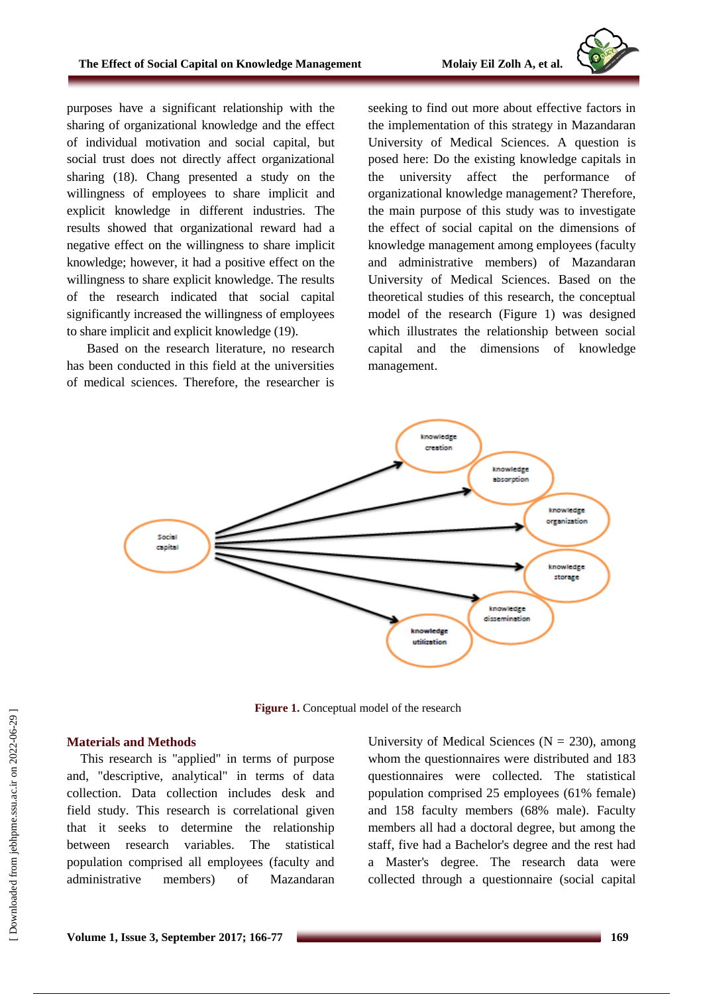

purposes have a significant relationship with the sharing of organizational knowledge and the effect of individual motivation and social capital, but social trust does not directly affect organizational sharing (18). Chang presented a study on the willingness of employees to share implicit and explicit knowledge in different industries. The results showed that organizational reward had a negative effect on the willingness to share implicit knowledge; however, it had a positive effect on the willingness to share explicit knowledge. The results of the research indicated that social capital significantly increased the willingness of employees to share implicit and explicit knowledge (19).

Based on the research literature, no research has been conducted in this field at the universities of medical sciences. Therefore, the researcher is

seeking to find out more about effective factors in the implementation of this strategy in Mazandaran University of Medical Sciences. A question is posed here: Do the existing knowledge capitals in the university affect the performance organizational knowledge management? Therefore, the main purpose of this study was to investigate the effect of social capital on the dimensions of knowledge management among employees (faculty and administrative members) of Mazandaran University of Medical Sciences. Based on the theoretical studies of this research, the conceptual model of the research (Figure 1) was designed which illustrates the relationship between social capital and the dimensions of knowledge management.



**Figure 1.** Conceptual model of the research

#### **Materials and Methods**

This research is "applied" in terms of purpose and, "descriptive, analytical" in terms of data collection. Data collection includes desk and field study. This research is correlational given that it seeks to determine the relationship between research variables. The statistical population comprised all employees (faculty and administrative members) of Mazandaran University of Medical Sciences ( $N = 230$ ), among whom the questionnaires were distributed and 183 questionnaires were collected. The statistical population comprised 25 employees (61% female) and 158 faculty members (68% male). Faculty members all had a doctoral degree, but among the staff, five had a Bachelor's degree and the rest had a Master's degree. The research data were collected through a questionnaire (social capital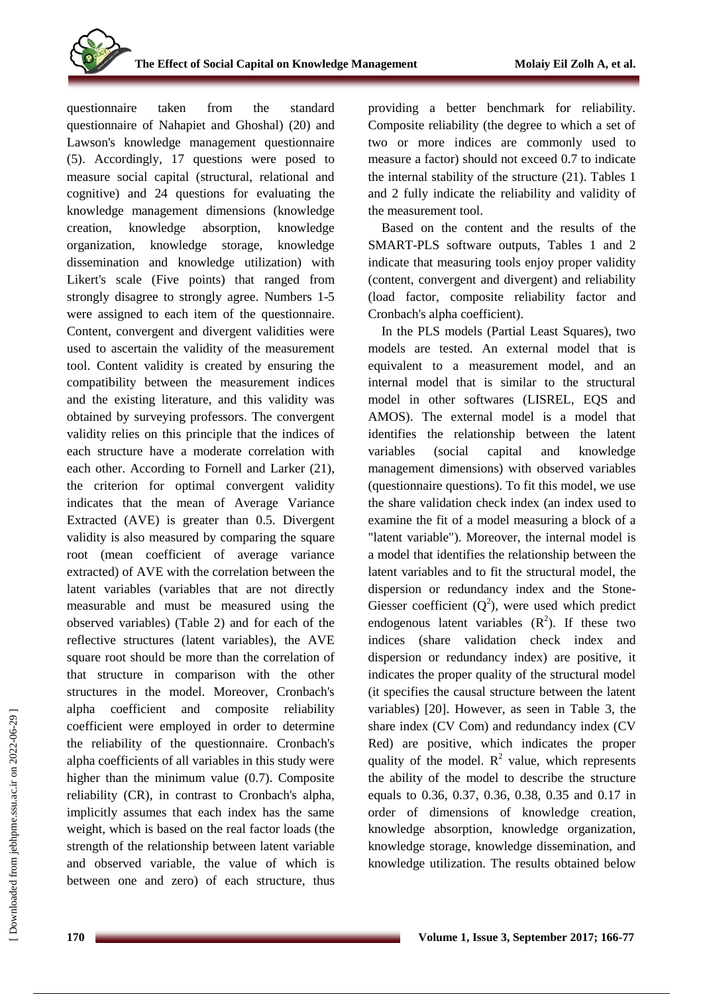questionnaire taken from the standard questionnaire of Nahapiet and Ghoshal) (20) and Lawson's knowledge management questionnaire (5). Accordingly, 17 questions were posed to measure social capital (structural, relational and cognitive) and 24 questions for evaluating the knowledge management dimensions (knowledge creation, knowledge absorption, knowledge organization, knowledge storage, knowledge dissemination and knowledge utilization) with Likert's scale (Five points) that ranged from strongly disagree to strongly agree. Numbers 1-5 were assigned to each item of the questionnaire. Content, convergent and divergent validities were used to ascertain the validity of the measurement tool. Content validity is created by ensuring the compatibility between the measurement indices and the existing literature, and this validity was obtained by surveying professors. The convergent validity relies on this principle that the indices of each structure have a moderate correlation with each other. According to Fornell and Larker (21), the criterion for optimal convergent validity indicates that the mean of Average Variance Extracted (AVE) is greater than 0.5. Divergent validity is also measured by comparing the square root (mean coefficient of average variance extracted) of AVE with the correlation between the latent variables (variables that are not directly measurable and must be measured using the observed variables) (Table 2) and for each of the reflective structures (latent variables), the AVE square root should be more than the correlation of that structure in comparison with the other structures in the model. Moreover, Cronbach's alpha coefficient and composite reliability coefficient were employed in order to determine the reliability of the questionnaire. Cronbach's alpha coefficients of all variables in this study were higher than the minimum value (0.7). Composite reliability (CR), in contrast to Cronbach's alpha, implicitly assumes that each index has the same weight, which is based on the real factor loads (the strength of the relationship between latent variable and observed variable, the value of which is between one and zero) of each structure, thus providing a better benchmark for reliability. Composite reliability (the degree to which a set of two or more indices are commonly used to measure a factor) should not exceed 0.7 to indicate the internal stability of the structure (21). Tables 1 and 2 fully indicate the reliability and validity of the measurement tool.

Based on the content and the results of the SMART-PLS software outputs, Tables 1 and 2 indicate that measuring tools enjoy proper validity (content, convergent and divergent) and reliability (load factor, composite reliability factor and Cronbach's alpha coefficient).

In the PLS models (Partial Least Squares), two models are tested. An external model that is equivalent to a measurement model, and an internal model that is similar to the structural model in other softwares (LISREL, EQS and AMOS). The external model is a model that identifies the relationship between the latent variables (social capital and knowledge management dimensions) with observed variables (questionnaire questions). To fit this model, we use the share validation check index (an index used to examine the fit of a model measuring a block of a "latent variable"). Moreover, the internal model is a model that identifies the relationship between the latent variables and to fit the structural model, the dispersion or redundancy index and the Stone-Giesser coefficient  $(Q^2)$ , were used which predict endogenous latent variables  $(R^2)$ . If these two indices (share validation check index and dispersion or redundancy index) are positive, it indicates the proper quality of the structural model (it specifies the causal structure between the latent variables) [20]. However, as seen in Table 3, the share index (CV Com) and redundancy index (CV Red) are positive, which indicates the proper quality of the model.  $R^2$  value, which represents the ability of the model to describe the structure equals to 0.36, 0.37, 0.36, 0.38, 0.35 and 0.17 in order of dimensions of knowledge creation, knowledge absorption, knowledge organization, knowledge storage, knowledge dissemination, and knowledge utilization. The results obtained below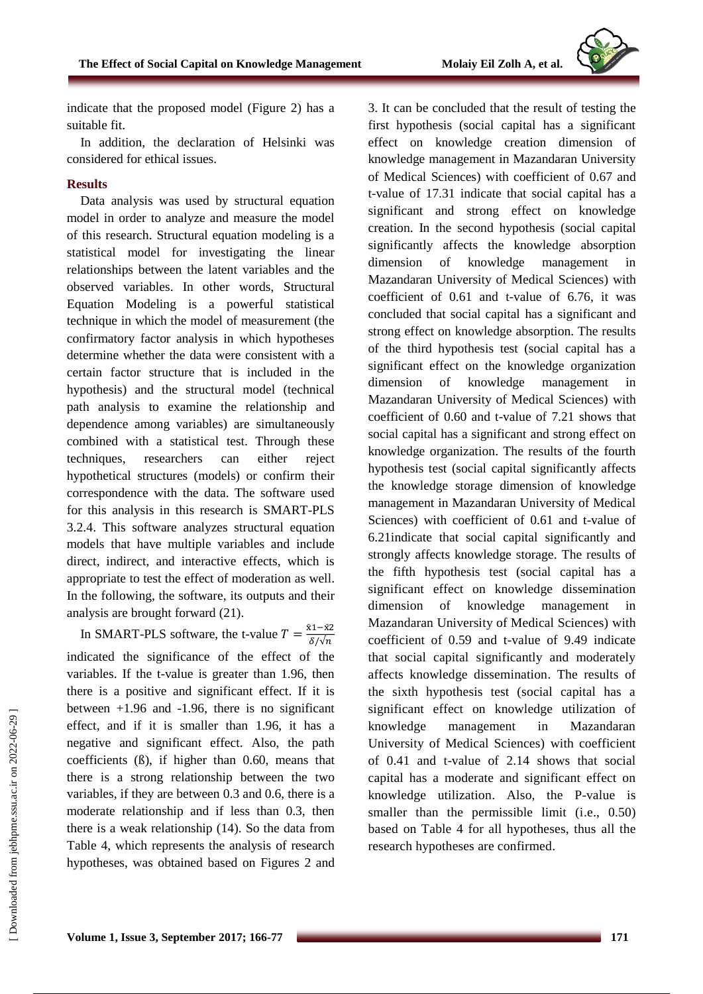

indicate that the proposed model (Figure 2) has a suitable fit.

In addition, the declaration of Helsinki was considered for ethical issues.

#### **Results**

Data analysis was used by structural equation model in order to analyze and measure the model of this research. Structural equation modeling is a statistical model for investigating the linear relationships between the latent variables and the observed variables. In other words, Structural Equation Modeling is a powerful statistical technique in which the model of measurement (the confirmatory factor analysis in which hypotheses determine whether the data were consistent with a certain factor structure that is included in the hypothesis) and the structural model (technical path analysis to examine the relationship and dependence among variables) are simultaneously combined with a statistical test. Through these techniques, researchers can either reject hypothetical structures (models) or confirm their correspondence with the data. The software used for this analysis in this research is SMART-PLS 3.2.4. This software analyzes structural equation models that have multiple variables and include direct, indirect, and interactive effects, which is appropriate to test the effect of moderation as well. In the following, the software, its outputs and their analysis are brought forward (21).

In SMART-PLS software, the t-value  $T = \frac{\bar{x}1 - \bar{x}2}{s/L}$ δ indicated the significance of the effect of the variables. If the t-value is greater than 1.96, then there is a positive and significant effect. If it is between +1.96 and -1.96, there is no significant effect, and if it is smaller than 1.96, it has a negative and significant effect. Also, the path coefficients (ß), if higher than 0.60, means that there is a strong relationship between the two variables, if they are between 0.3 and 0.6, there is a moderate relationship and if less than 0.3, then there is a weak relationship (14). So the data from Table 4, which represents the analysis of research hypotheses, was obtained based on Figures 2 and

3. It can be concluded that the result of testing the first hypothesis (social capital has a significant effect on knowledge creation dimension of knowledge management in Mazandaran University of Medical Sciences) with coefficient of 0.67 and t-value of 17.31 indicate that social capital has a significant and strong effect on knowledge creation. In the second hypothesis (social capital significantly affects the knowledge absorption dimension of knowledge management in Mazandaran University of Medical Sciences) with coefficient of 0.61 and t-value of 6.76, it was concluded that social capital has a significant and strong effect on knowledge absorption. The results of the third hypothesis test (social capital has a significant effect on the knowledge organization dimension of knowledge management in Mazandaran University of Medical Sciences) with coefficient of 0.60 and t-value of 7.21 shows that social capital has a significant and strong effect on knowledge organization. The results of the fourth hypothesis test (social capital significantly affects the knowledge storage dimension of knowledge management in Mazandaran University of Medical Sciences) with coefficient of 0.61 and t-value of 6.21indicate that social capital significantly and strongly affects knowledge storage. The results of the fifth hypothesis test (social capital has a significant effect on knowledge dissemination dimension of knowledge management in Mazandaran University of Medical Sciences) with coefficient of 0.59 and t-value of 9.49 indicate that social capital significantly and moderately affects knowledge dissemination. The results of the sixth hypothesis test (social capital has a significant effect on knowledge utilization of knowledge management in Mazandaran University of Medical Sciences) with coefficient of 0.41 and t-value of 2.14 shows that social capital has a moderate and significant effect on knowledge utilization. Also, the P-value is smaller than the permissible limit (i.e., 0.50) based on Table 4 for all hypotheses, thus all the research hypotheses are confirmed.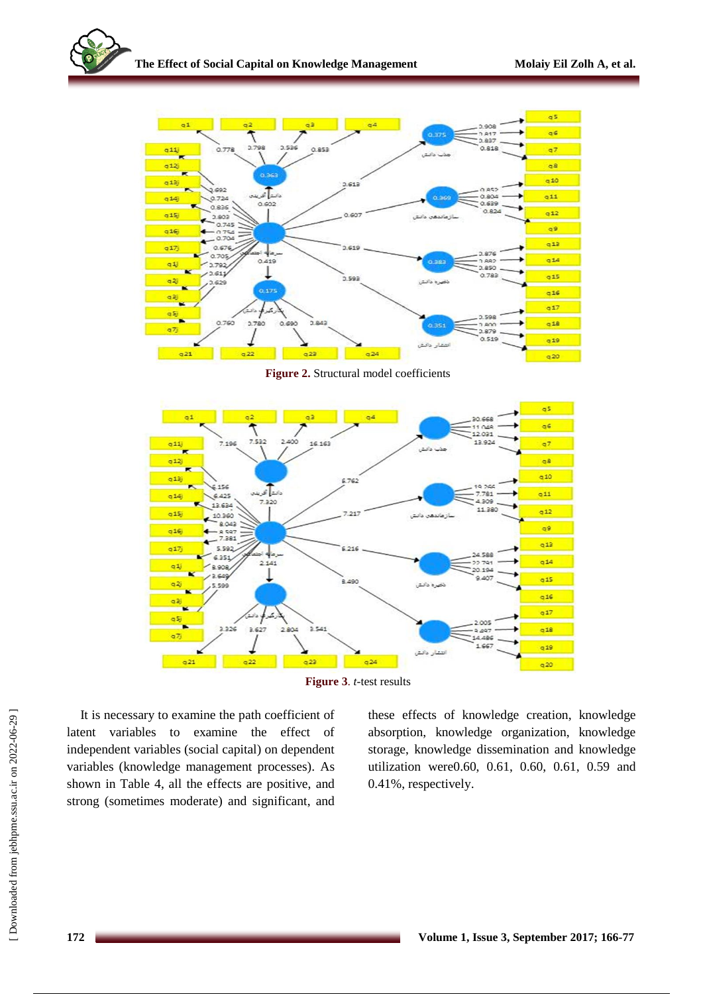

**Figure 2.** Structural model coefficients



**Figure 3**. *t-*test results

It is necessary to examine the path coefficient of latent variables to examine the effect of independent variables (social capital) on dependent variables (knowledge management processes). As shown in Table 4, all the effects are positive, and strong (sometimes moderate) and significant, and these effects of knowledge creation, knowledge absorption, knowledge organization, knowledge storage, knowledge dissemination and knowledge utilization were0.60, 0.61, 0.60, 0.61, 0.59 and 0.41%, respectively.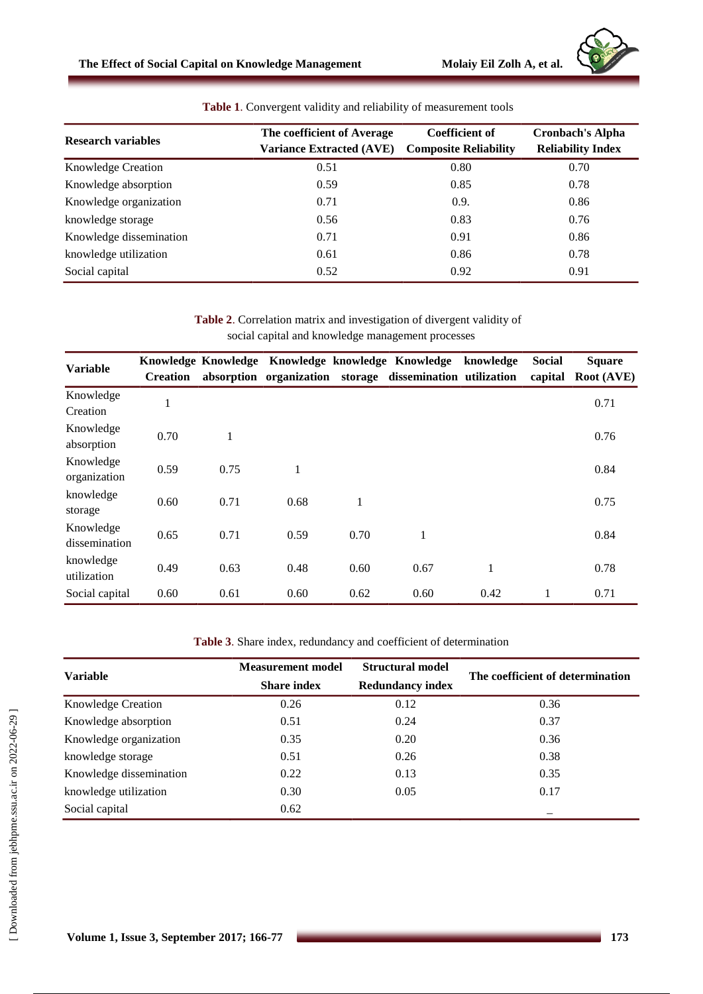

| <b>Research variables</b> | The coefficient of Average<br>Variance Extracted (AVE) | <b>Coefficient of</b><br><b>Composite Reliability</b> | <b>Cronbach's Alpha</b><br><b>Reliability Index</b> |  |
|---------------------------|--------------------------------------------------------|-------------------------------------------------------|-----------------------------------------------------|--|
| <b>Knowledge Creation</b> | 0.51                                                   | 0.80                                                  | 0.70                                                |  |
| Knowledge absorption      | 0.59                                                   | 0.85                                                  | 0.78                                                |  |
| Knowledge organization    | 0.71                                                   | 0.9.                                                  | 0.86                                                |  |
| knowledge storage         | 0.56                                                   | 0.83                                                  | 0.76                                                |  |
| Knowledge dissemination   | 0.71                                                   | 0.91                                                  | 0.86                                                |  |
| knowledge utilization     | 0.61                                                   | 0.86                                                  | 0.78                                                |  |
| Social capital            | 0.52                                                   | 0.92                                                  | 0.91                                                |  |

**Table 1**. Convergent validity and reliability of measurement tools

**Table 2**. Correlation matrix and investigation of divergent validity of social capital and knowledge management processes

| <b>Variable</b> | <b>Creation</b> |      |              |      | Knowledge Knowledge Knowledge knowledge Knowledge<br>absorption organization storage dissemination utilization | knowledge | <b>Social</b><br>capital | <b>Square</b><br><b>Root</b> (AVE) |  |  |  |
|-----------------|-----------------|------|--------------|------|----------------------------------------------------------------------------------------------------------------|-----------|--------------------------|------------------------------------|--|--|--|
| Knowledge       |                 |      |              |      |                                                                                                                |           |                          | 0.71                               |  |  |  |
| Creation        | 1               |      |              |      |                                                                                                                |           |                          |                                    |  |  |  |
| Knowledge       |                 |      |              |      |                                                                                                                |           |                          |                                    |  |  |  |
| absorption      | 0.70            | 1    |              |      |                                                                                                                |           |                          | 0.76                               |  |  |  |
| Knowledge       |                 |      |              |      |                                                                                                                |           |                          |                                    |  |  |  |
| organization    | 0.59            | 0.75 | $\mathbf{1}$ |      |                                                                                                                |           |                          | 0.84                               |  |  |  |
| knowledge       |                 |      |              |      |                                                                                                                |           |                          |                                    |  |  |  |
| storage         | 0.60            | 0.71 | 0.68         | 1    |                                                                                                                |           |                          | 0.75                               |  |  |  |
| Knowledge       |                 |      |              |      |                                                                                                                |           |                          |                                    |  |  |  |
| dissemination   | 0.65            | 0.71 | 0.59         | 0.70 | 1                                                                                                              |           |                          | 0.84                               |  |  |  |
| knowledge       |                 |      |              |      |                                                                                                                |           |                          |                                    |  |  |  |
| utilization     | 0.49            | 0.63 | 0.48         | 0.60 | 0.67                                                                                                           | 1         |                          | 0.78                               |  |  |  |
| Social capital  | 0.60            | 0.61 | 0.60         | 0.62 | 0.60                                                                                                           | 0.42      | 1                        | 0.71                               |  |  |  |

## **Table 3**. Share index, redundancy and coefficient of determination

| <b>Variable</b>                | <b>Measurement model</b><br><b>Share index</b> | <b>Structural model</b><br><b>Redundancy index</b> | The coefficient of determination |  |  |
|--------------------------------|------------------------------------------------|----------------------------------------------------|----------------------------------|--|--|
| Knowledge Creation             | 0.26                                           | 0.12                                               | 0.36                             |  |  |
| Knowledge absorption<br>0.51   |                                                | 0.24                                               | 0.37                             |  |  |
| Knowledge organization<br>0.35 |                                                | 0.20                                               | 0.36                             |  |  |
| knowledge storage              | 0.51                                           | 0.26                                               | 0.38                             |  |  |
| Knowledge dissemination        | 0.22                                           | 0.13                                               | 0.35                             |  |  |
| knowledge utilization<br>0.30  |                                                | 0.05                                               | 0.17                             |  |  |
| Social capital                 | 0.62                                           |                                                    |                                  |  |  |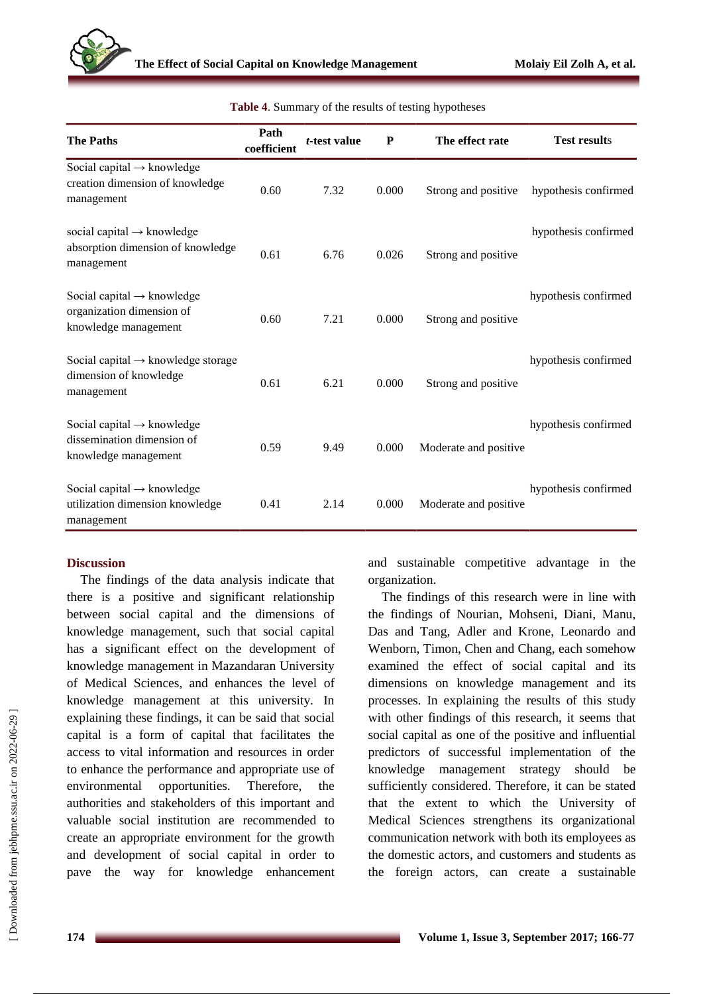

| <b>The Paths</b>                                                                             | Path<br>coefficient | t-test value | ${\bf P}$ | The effect rate       | <b>Test results</b>  |
|----------------------------------------------------------------------------------------------|---------------------|--------------|-----------|-----------------------|----------------------|
| Social capital $\rightarrow$ knowledge<br>creation dimension of knowledge<br>management      | 0.60                | 7.32         | 0.000     | Strong and positive   | hypothesis confirmed |
| social capital $\rightarrow$ knowledge<br>absorption dimension of knowledge<br>management    | 0.61                | 6.76         | 0.026     | Strong and positive   | hypothesis confirmed |
| Social capital $\rightarrow$ knowledge<br>organization dimension of<br>knowledge management  | 0.60                | 7.21         | 0.000     | Strong and positive   | hypothesis confirmed |
| Social capital $\rightarrow$ knowledge storage<br>dimension of knowledge<br>management       | 0.61                | 6.21         | 0.000     | Strong and positive   | hypothesis confirmed |
| Social capital $\rightarrow$ knowledge<br>dissemination dimension of<br>knowledge management | 0.59                | 9.49         | 0.000     | Moderate and positive | hypothesis confirmed |
| Social capital $\rightarrow$ knowledge<br>utilization dimension knowledge<br>management      | 0.41                | 2.14         | 0.000     | Moderate and positive | hypothesis confirmed |

**Table 4**. Summary of the results of testing hypotheses

#### **Discussion**

The findings of the data analysis indicate that there is a positive and significant relationship between social capital and the dimensions of knowledge management, such that social capital has a significant effect on the development of knowledge management in Mazandaran University of Medical Sciences, and enhances the level of knowledge management at this university. In explaining these findings, it can be said that social capital is a form of capital that facilitates the access to vital information and resources in order to enhance the performance and appropriate use of environmental opportunities. Therefore, the authorities and stakeholders of this important and valuable social institution are recommended to create an appropriate environment for the growth and development of social capital in order to pave the way for knowledge enhancement and sustainable competitive advantage in the organization.

The findings of this research were in line with the findings of Nourian, Mohseni, Diani, Manu, Das and Tang, Adler and Krone, Leonardo and Wenborn, Timon, Chen and Chang, each somehow examined the effect of social capital and its dimensions on knowledge management and its processes. In explaining the results of this study with other findings of this research, it seems that social capital as one of the positive and influential predictors of successful implementation of the knowledge management strategy should be sufficiently considered. Therefore, it can be stated that the extent to which the University of Medical Sciences strengthens its organizational communication network with both its employees as the domestic actors, and customers and students as the foreign actors, can create a sustainable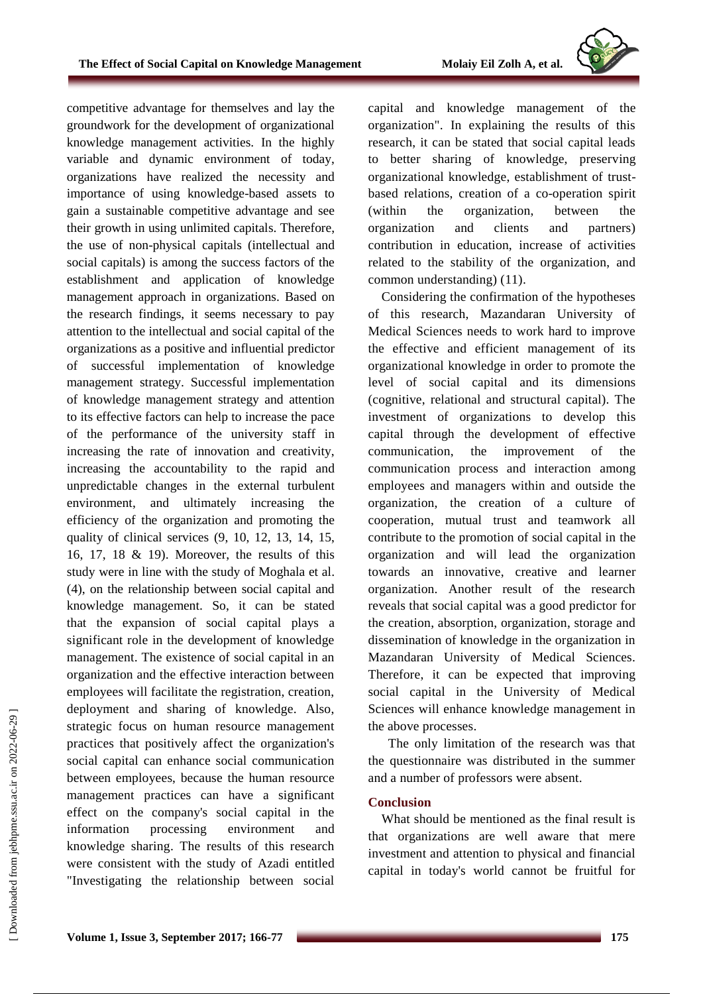competitive advantage for themselves and lay the groundwork for the development of organizational knowledge management activities. In the highly variable and dynamic environment of today, organizations have realized the necessity and importance of using knowledge-based assets to gain a sustainable competitive advantage and see their growth in using unlimited capitals. Therefore, the use of non-physical capitals (intellectual and social capitals) is among the success factors of the establishment and application of knowledge management approach in organizations. Based on the research findings, it seems necessary to pay attention to the intellectual and social capital of the organizations as a positive and influential predictor of successful implementation of knowledge management strategy. Successful implementation of knowledge management strategy and attention to its effective factors can help to increase the pace of the performance of the university staff in increasing the rate of innovation and creativity, increasing the accountability to the rapid and unpredictable changes in the external turbulent environment, and ultimately increasing the efficiency of the organization and promoting the quality of clinical services (9, 10, 12, 13, 14, 15, 16, 17, 18 & 19). Moreover, the results of this study were in line with the study of Moghala et al. (4), on the relationship between social capital and knowledge management. So, it can be stated that the expansion of social capital plays a significant role in the development of knowledge management. The existence of social capital in an organization and the effective interaction between employees will facilitate the registration, creation, deployment and sharing of knowledge. Also, strategic focus on human resource management practices that positively affect the organization's social capital can enhance social communication between employees, because the human resource management practices can have a significant effect on the company's social capital in the information processing environment and knowledge sharing. The results of this research were consistent with the study of Azadi entitled "Investigating the relationship between social

capital and knowledge management of the organization". In explaining the results of this research, it can be stated that social capital leads to better sharing of knowledge, preserving organizational knowledge, establishment of trustbased relations, creation of a co-operation spirit (within the organization, between the organization and clients and partners) contribution in education, increase of activities related to the stability of the organization, and common understanding) (11).

Considering the confirmation of the hypotheses of this research, Mazandaran University of Medical Sciences needs to work hard to improve the effective and efficient management of its organizational knowledge in order to promote the level of social capital and its dimensions (cognitive, relational and structural capital). The investment of organizations to develop this capital through the development of effective communication, the improvement of the communication process and interaction among employees and managers within and outside the organization, the creation of a culture of cooperation, mutual trust and teamwork all contribute to the promotion of social capital in the organization and will lead the organization towards an innovative, creative and learner organization. Another result of the research reveals that social capital was a good predictor for the creation, absorption, organization, storage and dissemination of knowledge in the organization in Mazandaran University of Medical Sciences. Therefore, it can be expected that improving social capital in the University of Medical Sciences will enhance knowledge management in the above processes.

The only limitation of the research was that the questionnaire was distributed in the summer and a number of professors were absent.

## **Conclusion**

What should be mentioned as the final result is that organizations are well aware that mere investment and attention to physical and financial capital in today's world cannot be fruitful for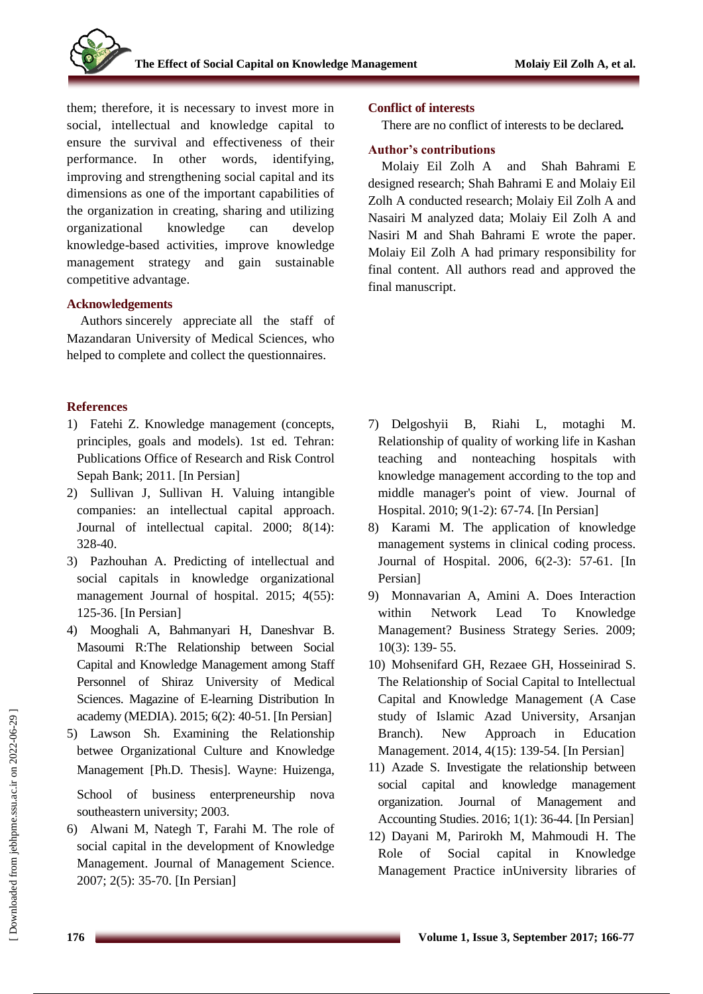them; therefore, it is necessary to invest more in social, intellectual and knowledge capital to ensure the survival and effectiveness of their performance. In other words, identifying, improving and strengthening social capital and its dimensions as one of the important capabilities of the organization in creating, sharing and utilizing organizational knowledge can develop knowledge-based activities, improve knowledge management strategy and gain sustainable competitive advantage.

## **Acknowledgements**

Authors sincerely appreciate all the staff of Mazandaran University of Medical Sciences, who helped to complete and collect the questionnaires.

## **References**

- 1) Fatehi Z. Knowledge management (concepts, principles, goals and models). 1st ed. Tehran: Publications Office of Research and Risk Control Sepah Bank; 2011. [In Persian]
- 2) Sullivan J, Sullivan H. Valuing intangible companies: an intellectual capital approach. Journal of intellectual capital. 2000; 8(14): 328-40.
- 3) Pazhouhan A. Predicting of intellectual and social capitals in knowledge organizational management Journal of hospital. 2015; 4(55): 125-36. [In Persian]
- 4) Mooghali A, Bahmanyari H, Daneshvar B. Masoumi R:The Relationship between Social Capital and Knowledge Management among Staff Personnel of Shiraz University of Medical Sciences. Magazine of E-learning Distribution In academy (MEDIA). 2015; 6(2): 40-51. [In Persian]
- 5) Lawson Sh. Examining the Relationship betwee Organizational Culture and Knowledge Management [Ph.D. Thesis]. Wayne: Huizenga,

School of business enterpreneurship nova southeastern university; 2003.

6) Alwani M, Nategh T, Farahi M. The role of social capital in the development of Knowledge Management. Journal of Management Science. 2007; 2(5): 35-70. [In Persian]

## **Conflict of interests**

There are no conflict of interests to be declared*.*

## **Author's contributions**

Molaiy Eil Zolh A and Shah Bahrami E designed research; Shah Bahrami E and Molaiy Eil Zolh A conducted research; Molaiy Eil Zolh A and Nasairi M analyzed data; Molaiy Eil Zolh A and Nasiri M and Shah Bahrami E wrote the paper. Molaiy Eil Zolh A had primary responsibility for final content. All authors read and approved the final manuscript.

- 7) Delgoshyii B, Riahi L, motaghi M. Relationship of quality of working life in Kashan teaching and nonteaching hospitals with knowledge management according to the top and middle manager's point of view. Journal of Hospital. 2010; 9(1-2): 67-74. [In Persian]
- 8) Karami M. The application of knowledge management systems in clinical coding process. Journal of Hospital. 2006, 6(2-3): 57-61. [In Persian]
- 9) Monnavarian A, Amini A. Does Interaction within Network Lead To Knowledge Management? Business Strategy Series. 2009; 10(3): 139- 55.
- 10) Mohsenifard GH, Rezaee GH, Hosseinirad S. The Relationship of Social Capital to Intellectual Capital and Knowledge Management (A Case study of Islamic Azad University, Arsanjan Branch). New Approach in Education Management. 2014, 4(15): 139-54. [In Persian]
- 11) Azade S. Investigate the relationship between social capital and knowledge management organization. Journal of Management and Accounting Studies. 2016; 1(1): 36-44. [In Persian]
- 12) Dayani M, Parirokh M, Mahmoudi H. The Role of Social capital in Knowledge Management Practice inUniversity libraries of